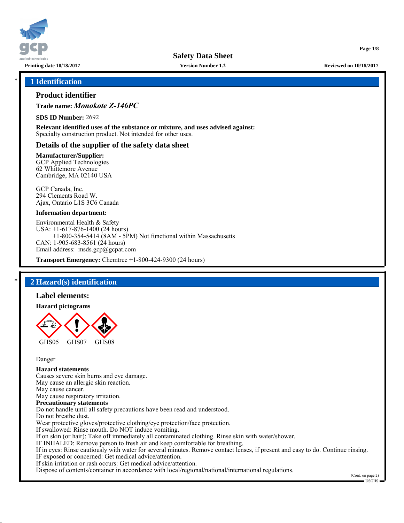

**Version Number 1.2**

**Printing date 10/18/2017 Reviewed on 10/18/2017**

**Page 1/8**

#### \* **1 Identification**

#### **Product identifier**

**Trade name:** *Monokote Z-146PC*

**SDS ID Number:** 2692

**Relevant identified uses of the substance or mixture, and uses advised against:** Specialty construction product. Not intended for other uses.

#### **Details of the supplier of the safety data sheet**

#### **Manufacturer/Supplier:**

GCP Applied Technologies 62 Whittemore Avenue Cambridge, MA 02140 USA

GCP Canada, Inc. 294 Clements Road W. Ajax, Ontario L1S 3C6 Canada

#### **Information department:**

Environmental Health & Safety USA: +1-617-876-1400 (24 hours) +1-800-354-5414 (8AM - 5PM) Not functional within Massachusetts CAN: 1-905-683-8561 (24 hours) Email address: msds.gcp@gcpat.com

**Transport Emergency:** Chemtrec +1-800-424-9300 (24 hours)

## \* **2 Hazard(s) identification**

#### **Label elements:**

#### **Hazard pictograms**



Danger

## **Hazard statements**

Causes severe skin burns and eye damage. May cause an allergic skin reaction. May cause cancer. May cause respiratory irritation. **Precautionary statements** Do not handle until all safety precautions have been read and understood. Do not breathe dust. Wear protective gloves/protective clothing/eye protection/face protection. If swallowed: Rinse mouth. Do NOT induce vomiting. If on skin (or hair): Take off immediately all contaminated clothing. Rinse skin with water/shower. IF INHALED: Remove person to fresh air and keep comfortable for breathing. If in eyes: Rinse cautiously with water for several minutes. Remove contact lenses, if present and easy to do. Continue rinsing. IF exposed or concerned: Get medical advice/attention. If skin irritation or rash occurs: Get medical advice/attention.

Dispose of contents/container in accordance with local/regional/national/international regulations.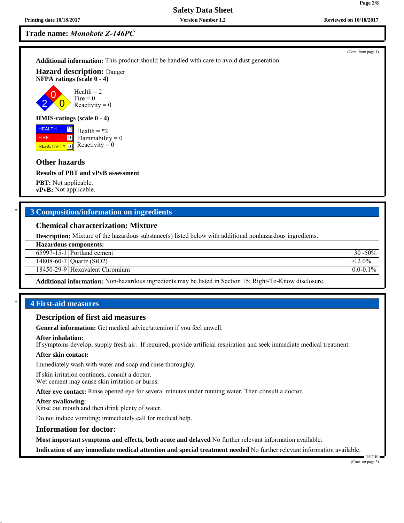## **Trade name:** *Monokote Z-146PC*

**Additional information:** This product should be handled with care to avoid dust generation.

**Hazard description:** Danger **NFPA ratings (scale 0 - 4)**

2 0  $\overline{0}$ Health  $= 2$  $Fire = 0$ Reactivity  $= 0$ 

#### **HMIS-ratings (scale 0 - 4)**

**HEALTH REACTIVITY** 0 \*2  $\boxed{0}$ Health  $=$  \*2  $Flammability = 0$ Reactivity  $= 0$ 

#### **Other hazards**

FIRE

#### **Results of PBT and vPvB assessment**

**PBT:** Not applicable. **vPvB:** Not applicable.

#### \* **3 Composition/information on ingredients**

#### **Chemical characterization: Mixture**

**Description:** Mixture of the hazardous substance(s) listed below with additional nonhazardous ingredients.

65997-15-1 Portland cement 30 -50%

14808-60-7 | Quartz (SiO2)  $|< 2.0\%$ 

18450-29-9 Hexavalent Chromium 0.0-0.1% and 0.0-0.1%

**Additional information:** Non-hazardous ingredients may be listed in Section 15; Right-To-Know disclosure.

#### \* **4 First-aid measures**

#### **Description of first aid measures**

**General information:** Get medical advice/attention if you feel unwell.

#### **After inhalation:**

If symptoms develop, supply fresh air. If required, provide artificial respiration and seek immediate medical treatment.

#### **After skin contact:**

Immediately wash with water and soap and rinse thoroughly.

If skin irritation continues, consult a doctor. Wet cement may cause skin irritation or burns.

**After eye contact:** Rinse opened eye for several minutes under running water. Then consult a doctor.

#### **After swallowing:**

Rinse out mouth and then drink plenty of water.

Do not induce vomiting; immediately call for medical help.

#### **Information for doctor:**

**Most important symptoms and effects, both acute and delayed** No further relevant information available.

**Indication of any immediate medical attention and special treatment needed** No further relevant information available.

# (Cont. from page 1)

**Page 2/8**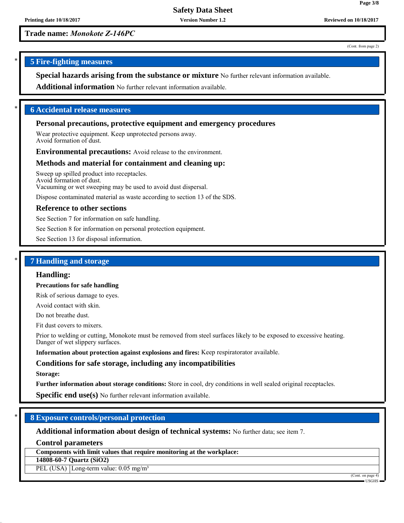**Version Number 1.2**

**Trade name:** *Monokote Z-146PC*

(Cont. from page 2)

**Page 3/8**

## \* **5 Fire-fighting measures**

**Special hazards arising from the substance or mixture** No further relevant information available.

**Additional information** No further relevant information available.

#### \* **6 Accidental release measures**

#### **Personal precautions, protective equipment and emergency procedures**

Wear protective equipment. Keep unprotected persons away. Avoid formation of dust.

**Environmental precautions:** Avoid release to the environment.

#### **Methods and material for containment and cleaning up:**

Sweep up spilled product into receptacles. Avoid formation of dust. Vacuuming or wet sweeping may be used to avoid dust dispersal.

Dispose contaminated material as waste according to section 13 of the SDS.

#### **Reference to other sections**

See Section 7 for information on safe handling.

See Section 8 for information on personal protection equipment.

See Section 13 for disposal information.

## \* **7 Handling and storage**

#### **Handling:**

**Precautions for safe handling**

Risk of serious damage to eyes.

Avoid contact with skin.

Do not breathe dust.

Fit dust covers to mixers.

Prior to welding or cutting, Monokote must be removed from steel surfaces likely to be exposed to excessive heating. Danger of wet slippery surfaces.

**Information about protection against explosions and fires:** Keep respiratorator available.

#### **Conditions for safe storage, including any incompatibilities**

#### **Storage:**

**Further information about storage conditions:** Store in cool, dry conditions in well sealed original receptacles.

**Specific end use(s)** No further relevant information available.

#### \* **8 Exposure controls/personal protection**

**Additional information about design of technical systems:** No further data; see item 7.

**Control parameters**

**Components with limit values that require monitoring at the workplace:**

**14808-60-7 Quartz (SiO2)**

PEL (USA) Long-term value: 0.05 mg/m<sup>3</sup>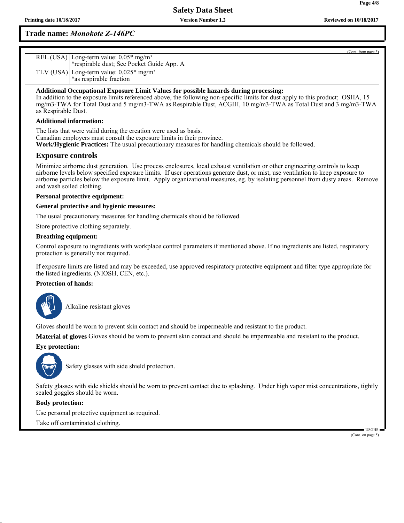## **Trade name:** *Monokote Z-146PC*

| REL (USA) Long-term value: 0.05* mg/m <sup>3</sup><br>*respirable dust; See Pocket Guide App. A |
|-------------------------------------------------------------------------------------------------|
| TLV (USA) Long-term value: $0.025*$ mg/m <sup>3</sup>                                           |
| *as respirable fraction                                                                         |

#### **Additional Occupational Exposure Limit Values for possible hazards during processing:**

In addition to the exposure limits referenced above, the following non-specific limits for dust apply to this product; OSHA, 15 mg/m3-TWA for Total Dust and 5 mg/m3-TWA as Respirable Dust, ACGIH, 10 mg/m3-TWA as Total Dust and 3 mg/m3-TWA as Respirable Dust.

#### **Additional information:**

The lists that were valid during the creation were used as basis. Canadian employers must consult the exposure limits in their province. **Work/Hygienic Practices:** The usual precautionary measures for handling chemicals should be followed.

## **Exposure controls**

Minimize airborne dust generation. Use process enclosures, local exhaust ventilation or other engineering controls to keep airborne levels below specified exposure limits. If user operations generate dust, or mist, use ventilation to keep exposure to airborne particles below the exposure limit. Apply organizational measures, eg. by isolating personnel from dusty areas. Remove and wash soiled clothing.

#### **Personal protective equipment:**

#### **General protective and hygienic measures:**

The usual precautionary measures for handling chemicals should be followed.

Store protective clothing separately.

#### **Breathing equipment:**

Control exposure to ingredients with workplace control parameters if mentioned above. If no ingredients are listed, respiratory protection is generally not required.

If exposure limits are listed and may be exceeded, use approved respiratory protective equipment and filter type appropriate for the listed ingredients. (NIOSH, CEN, etc.).

#### **Protection of hands:**



\_SAlkaline resistant gloves

Gloves should be worn to prevent skin contact and should be impermeable and resistant to the product.

**Material of gloves** Gloves should be worn to prevent skin contact and should be impermeable and resistant to the product.

#### **Eye protection:**



Safety glasses with side shield protection.

Safety glasses with side shields should be worn to prevent contact due to splashing. Under high vapor mist concentrations, tightly sealed goggles should be worn.

#### **Body protection:**

Use personal protective equipment as required. Take off contaminated clothing.

> USGHS (Cont. on page 5)

(Cont. from page 3)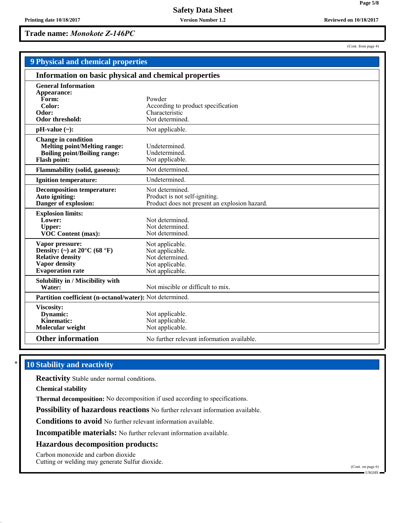**Version Number 1.2**

**Trade name:** *Monokote Z-146PC*

| Reviewed on 10/1 |  |
|------------------|--|
|                  |  |

(Cont. from page 4)

| <b>9 Physical and chemical properties</b>                                                                                                         |                                                                                                   |  |  |  |
|---------------------------------------------------------------------------------------------------------------------------------------------------|---------------------------------------------------------------------------------------------------|--|--|--|
| Information on basic physical and chemical properties                                                                                             |                                                                                                   |  |  |  |
| <b>General Information</b><br>Appearance:<br>Form:<br>Color:<br>Odor:<br><b>Odor threshold:</b>                                                   | Powder<br>According to product specification<br>Characteristic<br>Not determined.                 |  |  |  |
| $pH-value (\sim):$                                                                                                                                | Not applicable.                                                                                   |  |  |  |
| <b>Change in condition</b><br><b>Melting point/Melting range:</b><br><b>Boiling point/Boiling range:</b><br><b>Flash point:</b>                   | Undetermined.<br>Undetermined.<br>Not applicable.                                                 |  |  |  |
| <b>Flammability (solid, gaseous):</b>                                                                                                             | Not determined.                                                                                   |  |  |  |
| <b>Ignition temperature:</b>                                                                                                                      | Undetermined.                                                                                     |  |  |  |
| <b>Decomposition temperature:</b><br>Auto igniting:<br>Danger of explosion:                                                                       | Not determined.<br>Product is not self-igniting.<br>Product does not present an explosion hazard. |  |  |  |
| <b>Explosion limits:</b><br>Lower:<br><b>Upper:</b><br><b>VOC Content (max):</b>                                                                  | Not determined.<br>Not determined.<br>Not determined.                                             |  |  |  |
| Vapor pressure:<br>Density: (~) at $20^{\circ}$ C (68 $^{\circ}$ F)<br><b>Relative density</b><br><b>Vapor density</b><br><b>Evaporation</b> rate | Not applicable.<br>Not applicable.<br>Not determined.<br>Not applicable.<br>Not applicable.       |  |  |  |
| Solubility in / Miscibility with<br>Water:                                                                                                        | Not miscible or difficult to mix.                                                                 |  |  |  |
| Partition coefficient (n-octanol/water): Not determined.                                                                                          |                                                                                                   |  |  |  |
| Viscosity:<br>Dynamic:<br>Kinematic:<br>Molecular weight                                                                                          | Not applicable.<br>Not applicable.<br>Not applicable.                                             |  |  |  |
| <b>Other information</b>                                                                                                                          | No further relevant information available.                                                        |  |  |  |

## **10 Stability and reactivity**

**Reactivity** Stable under normal conditions.

**Chemical stability**

**Thermal decomposition:** No decomposition if used according to specifications.

**Possibility of hazardous reactions** No further relevant information available.

**Conditions to avoid** No further relevant information available.

**Incompatible materials:** No further relevant information available.

#### **Hazardous decomposition products:**

Carbon monoxide and carbon dioxide

Cutting or welding may generate Sulfur dioxide.

(Cont. on page 6) USGHS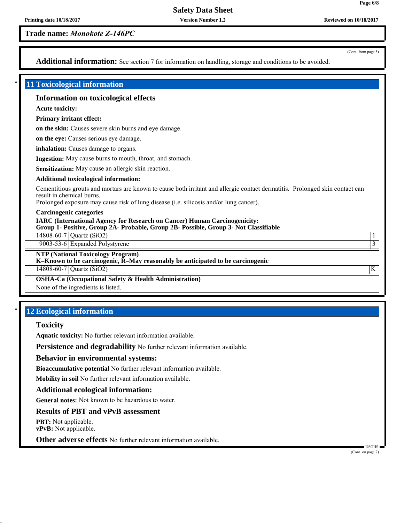**Version Number 1.2**

**Trade name:** *Monokote Z-146PC*

(Cont. from page 5)

**Page 6/8**

Additional information: See section 7 for information on handling, storage and conditions to be avoided.

#### \* **11 Toxicological information**

#### **Information on toxicological effects**

**Acute toxicity:**

**Primary irritant effect:**

**on the skin:** Causes severe skin burns and eye damage.

**on the eye:** Causes serious eye damage.

**inhalation:** Causes damage to organs.

**Ingestion:** May cause burns to mouth, throat, and stomach.

**Sensitization:** May cause an allergic skin reaction.

#### **Additional toxicological information:**

Cementitious grouts and mortars are known to cause both irritant and allergic contact dermatitis. Prolonged skin contact can result in chemical burns.

Prolonged exposure may cause risk of lung disease (i.e. silicosis and/or lung cancer).

#### **Carcinogenic categories**

**IARC (International Agency for Research on Cancer) Human Carcinogenicity: Group 1- Positive, Group 2A- Probable, Group 2B- Possible, Group 3- Not Classifiable**

14808-60-7 Quartz (SiO2) 1

9003-53-6 Expanded Polystyrene 3

**NTP (National Toxicology Program)**

**K–Known to be carcinogenic, R–May reasonably be anticipated to be carcinogenic**

14808-60-7 Quartz (SiO2) K

**OSHA-Ca (Occupational Safety & Health Administration)**

None of the ingredients is listed.

## **12 Ecological information**

#### **Toxicity**

**Aquatic toxicity:** No further relevant information available.

**Persistence and degradability** No further relevant information available.

#### **Behavior in environmental systems:**

**Bioaccumulative potential** No further relevant information available.

**Mobility in soil** No further relevant information available.

#### **Additional ecological information:**

**General notes:** Not known to be hazardous to water.

## **Results of PBT and vPvB assessment**

**PBT:** Not applicable. **vPvB:** Not applicable.

**Other adverse effects** No further relevant information available.

 USGHS (Cont. on page 7)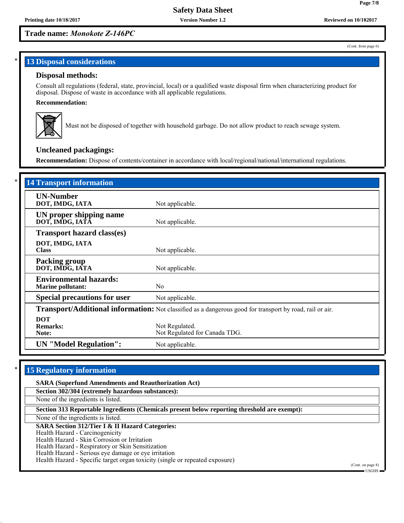## **Trade name:** *Monokote Z-146PC*

#### (Cont. from page 6)

**Page 7/8**

## **13 Disposal considerations**

#### **Disposal methods:**

Consult all regulations (federal, state, provincial, local) or a qualified waste disposal firm when characterizing product for disposal. Dispose of waste in accordance with all applicable regulations.

#### **Recommendation:**



Must not be disposed of together with household garbage. Do not allow product to reach sewage system.

## **Uncleaned packagings:**

**Recommendation:** Dispose of contents/container in accordance with local/regional/national/international regulations.

| <b>14 Transport information</b>                           |                                                                                                          |
|-----------------------------------------------------------|----------------------------------------------------------------------------------------------------------|
| <b>UN-Number</b><br>DOT, IMDG, IATA                       | Not applicable.                                                                                          |
| UN proper shipping name<br>DOT, IMDG, IATA                | Not applicable.                                                                                          |
| <b>Transport hazard class(es)</b>                         |                                                                                                          |
| DOT, IMDG, IATA<br><b>Class</b>                           | Not applicable.                                                                                          |
| <b>Packing group</b><br>DOT, IMDG, IATA                   | Not applicable.                                                                                          |
| <b>Environmental hazards:</b><br><b>Marine pollutant:</b> | N <sub>0</sub>                                                                                           |
| <b>Special precautions for user</b>                       | Not applicable.                                                                                          |
|                                                           | Transport/Additional information: Not classified as a dangerous good for transport by road, rail or air. |
| <b>DOT</b><br><b>Remarks:</b><br>Note:                    | Not Regulated.<br>Not Regulated for Canada TDG.                                                          |
| <b>UN</b> "Model Regulation":                             | Not applicable.                                                                                          |

## **15 Regulatory information**

| <b>SARA (Superfund Amendments and Reauthorization Act)</b>                                   |                                |
|----------------------------------------------------------------------------------------------|--------------------------------|
| Section 302/304 (extremely hazardous substances):                                            |                                |
| None of the ingredients is listed.                                                           |                                |
| Section 313 Reportable Ingredients (Chemicals present below reporting threshold are exempt): |                                |
| None of the ingredients is listed.                                                           |                                |
| <b>SARA Section 312/Tier I &amp; II Hazard Categories:</b>                                   |                                |
| Health Hazard - Carcinogenicity                                                              |                                |
| Health Hazard - Skin Corrosion or Irritation                                                 |                                |
| Health Hazard - Respiratory or Skin Sensitization                                            |                                |
| Health Hazard - Serious eye damage or eye irritation                                         |                                |
| Health Hazard - Specific target organ toxicity (single or repeated exposure)                 |                                |
|                                                                                              | (Cont. on page 8)<br>■ USGHS ■ |